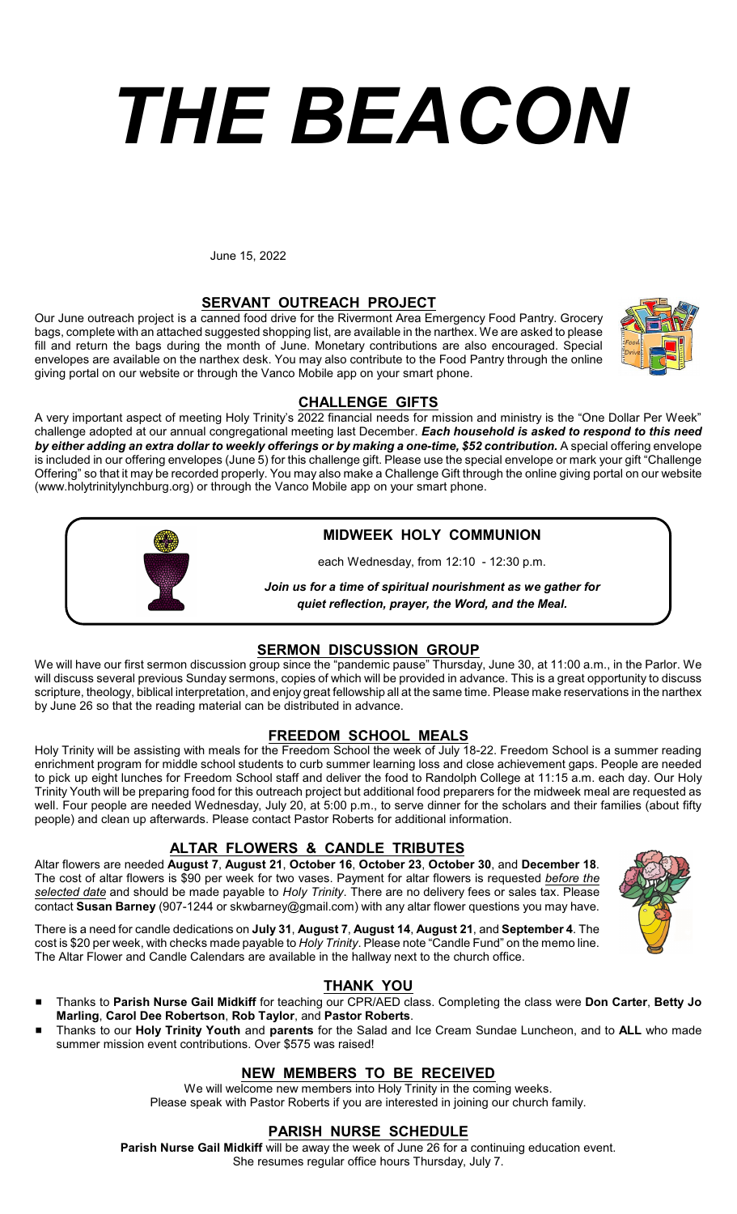# *THE BEACON*

June 15, 2022

### **SERVANT OUTREACH PROJECT**

Our June outreach project is a canned food drive for the Rivermont Area Emergency Food Pantry. Grocery bags, complete with an attached suggested shopping list, are available in the narthex. We are asked to please fill and return the bags during the month of June. Monetary contributions are also encouraged. Special envelopes are available on the narthex desk. You may also contribute to the Food Pantry through the online giving portal on our website or through the Vanco Mobile app on your smart phone.

### **CHALLENGE GIFTS**

A very important aspect of meeting Holy Trinity's 2022 financial needs for mission and ministry is the "One Dollar Per Week" challenge adopted at our annual congregational meeting last December. *Each household is asked to respond to this need by either adding an extra dollar to weekly offerings or by making a one-time, \$52 contribution.* **A special offering envelope** is included in our offering envelopes (June 5) for this challenge gift. Please use the special envelope or mark your gift "Challenge Offering" so that it may be recorded properly. You may also make a Challenge Gift through the online giving portal on our website (www.holytrinitylynchburg.org) or through the Vanco Mobile app on your smart phone.

### **MIDWEEK HOLY COMMUNION**

each Wednesday, from 12:10 - 12:30 p.m.

*Join us for a time of spiritual nourishment as we gather for quiet reflection, prayer, the Word, and the Meal.*

### **SERMON DISCUSSION GROUP**

We will have our first sermon discussion group since the "pandemic pause" Thursday, June 30, at 11:00 a.m., in the Parlor. We will discuss several previous Sunday sermons, copies of which will be provided in advance. This is a great opportunity to discuss scripture, theology, biblical interpretation, and enjoy great fellowship all at the same time. Please make reservations in the narthex by June 26 so that the reading material can be distributed in advance.

### **FREEDOM SCHOOL MEALS**

Holy Trinity will be assisting with meals for the Freedom School the week of July 18-22. Freedom School is a summer reading enrichment program for middle school students to curb summer learning loss and close achievement gaps. People are needed to pick up eight lunches for Freedom School staff and deliver the food to Randolph College at 11:15 a.m. each day. Our Holy Trinity Youth will be preparing food for this outreach project but additional food preparers for the midweek meal are requested as well. Four people are needed Wednesday, July 20, at 5:00 p.m., to serve dinner for the scholars and their families (about fifty people) and clean up afterwards. Please contact Pastor Roberts for additional information.

### **ALTAR FLOWERS & CANDLE TRIBUTES**

Altar flowers are needed **August 7**, **August 21**, **October 16**, **October 23**, **October 30**, and **December 18**. The cost of altar flowers is \$90 per week for two vases. Payment for altar flowers is requested *before the selected date* and should be made payable to *Holy Trinity*. There are no delivery fees or sales tax. Please contact **Susan Barney** (907-1244 or skwbarney@gmail.com) with any altar flower questions you may have.

There is a need for candle dedications on **July 31**, **August 7**, **August 14**, **August 21**, and **September 4**. The cost is \$20 per week, with checks made payable to *Holy Trinity*. Please note "Candle Fund" on the memo line. The Altar Flower and Candle Calendars are available in the hallway next to the church office.

### **THANK YOU**

- # Thanks to **Parish Nurse Gail Midkiff** for teaching our CPR/AED class. Completing the class were **Don Carter**, **Betty Jo Marling**, **Carol Dee Robertson**, **Rob Taylor**, and **Pastor Roberts**.
- # Thanks to our **Holy Trinity Youth** and **parents** for the Salad and Ice Cream Sundae Luncheon, and to **ALL** who made summer mission event contributions. Over \$575 was raised!

### **NEW MEMBERS TO BE RECEIVED**

We will welcome new members into Holy Trinity in the coming weeks. Please speak with Pastor Roberts if you are interested in joining our church family.

### **PARISH NURSE SCHEDULE**

**Parish Nurse Gail Midkiff** will be away the week of June 26 for a continuing education event. She resumes regular office hours Thursday, July 7.